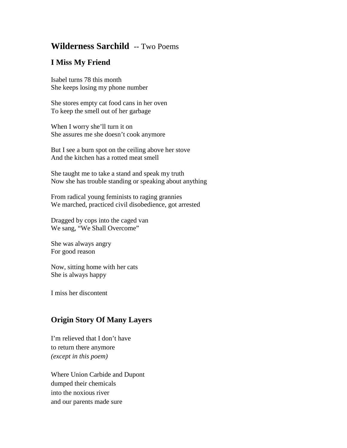## **Wilderness Sarchild** -- Two Poems

## **I Miss My Friend**

Isabel turns 78 this month She keeps losing my phone number

She stores empty cat food cans in her oven To keep the smell out of her garbage

When I worry she'll turn it on She assures me she doesn't cook anymore

But I see a burn spot on the ceiling above her stove And the kitchen has a rotted meat smell

She taught me to take a stand and speak my truth Now she has trouble standing or speaking about anything

From radical young feminists to raging grannies We marched, practiced civil disobedience, got arrested

Dragged by cops into the caged van We sang, "We Shall Overcome"

She was always angry For good reason

Now, sitting home with her cats She is always happy

I miss her discontent

## **Origin Story Of Many Layers**

I'm relieved that I don't have to return there anymore *(except in this poem)*

Where Union Carbide and Dupont dumped their chemicals into the noxious river and our parents made sure